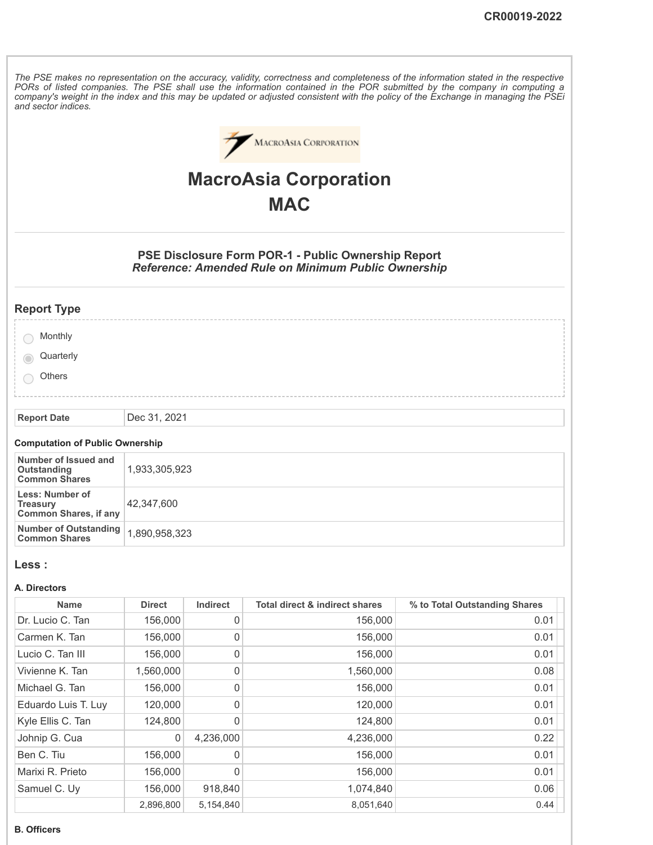The PSE makes no representation on the accuracy, validity, correctness and completeness of the information stated in the respective PORs of listed companies. The PSE shall use the information contained in the POR submitted by the company in computing a company's weight in the index and this may be updated or adjusted consistent with the policy of the Exchange in managing the PSEi *and sector indices.*



# **MacroAsia Corporation MAC**

**PSE Disclosure Form POR-1 - Public Ownership Report** *Reference: Amended Rule on Minimum Public Ownership*

# **Report Type**

|     | Monthly   |  |  |  |  |  |  |  |
|-----|-----------|--|--|--|--|--|--|--|
|     | Quarterly |  |  |  |  |  |  |  |
| i O | Others    |  |  |  |  |  |  |  |
|     |           |  |  |  |  |  |  |  |

**Report Date** Dec 31, 2021

## **Computation of Public Ownership**

| Number of Issued and<br>Outstanding<br><b>Common Shares</b>        | 1,933,305,923 |
|--------------------------------------------------------------------|---------------|
| Less: Number of<br><b>Treasury</b><br><b>Common Shares, if any</b> | 42.347.600    |
| Number of Outstanding   1,890,958,323<br><b>Common Shares</b>      |               |

#### **Less :**

#### **A. Directors**

| <b>Name</b>         | <b>Direct</b> | <b>Indirect</b> | <b>Total direct &amp; indirect shares</b> | % to Total Outstanding Shares |
|---------------------|---------------|-----------------|-------------------------------------------|-------------------------------|
| Dr. Lucio C. Tan    | 156,000       | 0               | 156,000                                   | 0.01                          |
| Carmen K. Tan       | 156,000       | 0               | 156,000                                   | 0.01                          |
| Lucio C. Tan III    | 156,000       | 0               | 156,000                                   | 0.01                          |
| Vivienne K. Tan     | 1,560,000     | 0               | 1,560,000                                 | 0.08                          |
| Michael G. Tan      | 156,000       | 0               | 156,000                                   | 0.01                          |
| Eduardo Luis T. Luy | 120,000       | 0               | 120,000                                   | 0.01                          |
| Kyle Ellis C. Tan   | 124,800       | 0               | 124,800                                   | 0.01                          |
| Johnip G. Cua       | 0             | 4,236,000       | 4,236,000                                 | 0.22                          |
| Ben C. Tiu          | 156,000       | 0               | 156,000                                   | 0.01                          |
| Marixi R. Prieto    | 156,000       | 0               | 156,000                                   | 0.01                          |
| Samuel C. Uy        | 156,000       | 918,840         | 1,074,840                                 | 0.06                          |
|                     | 2,896,800     | 5,154,840       | 8,051,640                                 | 0.44                          |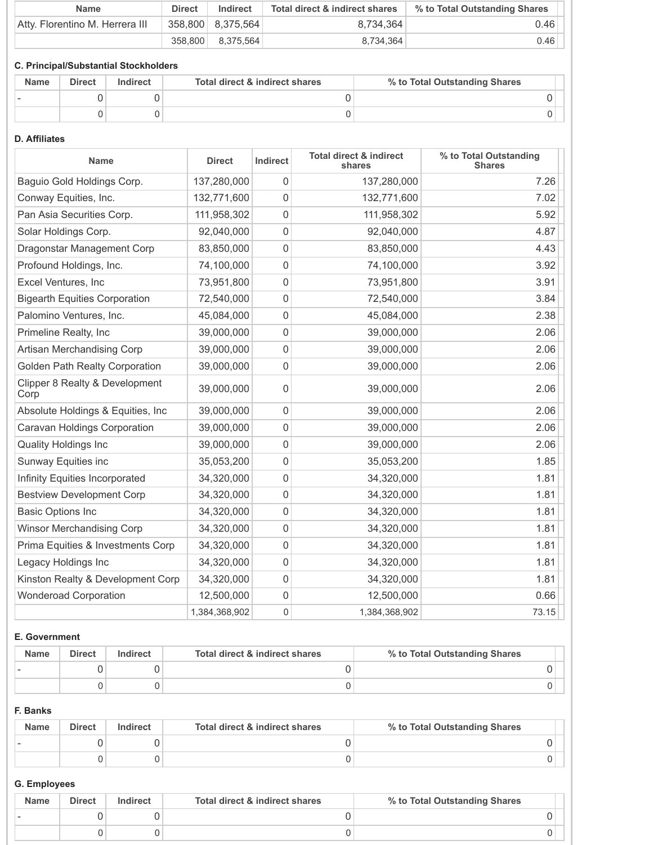| <b>Name</b>                     | <b>Direct</b> | Indirect            | Total direct & indirect shares | % to Total Outstanding Shares |
|---------------------------------|---------------|---------------------|--------------------------------|-------------------------------|
| Atty. Florentino M. Herrera III |               | 358,800   8,375,564 | 8.734.364                      | 0.46                          |
|                                 |               | 358,800 8,375,564   | 8.734.364                      | 0.46                          |

# **C. Principal/Substantial Stockholders**

| <b>Name</b> | <b>Direct</b> | <b>Indirect</b> | Total direct & indirect shares | % to Total Outstanding Shares |
|-------------|---------------|-----------------|--------------------------------|-------------------------------|
|             |               |                 |                                |                               |
|             |               |                 |                                |                               |

## **D. Affiliates**

| <b>Name</b>                            | <b>Direct</b> | Indirect    | <b>Total direct &amp; indirect</b><br>shares | % to Total Outstanding<br><b>Shares</b> |
|----------------------------------------|---------------|-------------|----------------------------------------------|-----------------------------------------|
| Baguio Gold Holdings Corp.             | 137,280,000   | $\mathbf 0$ | 137,280,000                                  | 7.26                                    |
| Conway Equities, Inc.                  | 132,771,600   | $\mathbf 0$ | 132,771,600                                  | 7.02                                    |
| Pan Asia Securities Corp.              | 111,958,302   | $\mathbf 0$ | 111,958,302                                  | 5.92                                    |
| Solar Holdings Corp.                   | 92,040,000    | $\mathbf 0$ | 92,040,000                                   | 4.87                                    |
| Dragonstar Management Corp             | 83,850,000    | $\mathsf 0$ | 83,850,000                                   | 4.43                                    |
| Profound Holdings, Inc.                | 74,100,000    | $\mathbf 0$ | 74,100,000                                   | 3.92                                    |
| Excel Ventures, Inc                    | 73,951,800    | $\Omega$    | 73,951,800                                   | 3.91                                    |
| <b>Bigearth Equities Corporation</b>   | 72,540,000    | $\mathsf 0$ | 72,540,000                                   | 3.84                                    |
| Palomino Ventures, Inc.                | 45,084,000    | $\mathbf 0$ | 45,084,000                                   | 2.38                                    |
| Primeline Realty, Inc                  | 39,000,000    | $\mathbf 0$ | 39,000,000                                   | 2.06                                    |
| Artisan Merchandising Corp             | 39,000,000    | $\mathbf 0$ | 39,000,000                                   | 2.06                                    |
| Golden Path Realty Corporation         | 39,000,000    | $\mathbf 0$ | 39,000,000                                   | 2.06                                    |
| Clipper 8 Realty & Development<br>Corp | 39,000,000    | $\mathbf 0$ | 39,000,000                                   | 2.06                                    |
| Absolute Holdings & Equities, Inc      | 39,000,000    | $\mathbf 0$ | 39,000,000                                   | 2.06                                    |
| Caravan Holdings Corporation           | 39,000,000    | $\mathbf 0$ | 39,000,000                                   | 2.06                                    |
| <b>Quality Holdings Inc</b>            | 39,000,000    | $\mathbf 0$ | 39,000,000                                   | 2.06                                    |
| Sunway Equities inc                    | 35,053,200    | $\mathbf 0$ | 35,053,200                                   | 1.85                                    |
| Infinity Equities Incorporated         | 34,320,000    | $\mathbf 0$ | 34,320,000                                   | 1.81                                    |
| <b>Bestview Development Corp</b>       | 34,320,000    | $\mathbf 0$ | 34,320,000                                   | 1.81                                    |
| <b>Basic Options Inc</b>               | 34,320,000    | $\mathbf 0$ | 34,320,000                                   | 1.81                                    |
| <b>Winsor Merchandising Corp</b>       | 34,320,000    | $\mathbf 0$ | 34,320,000                                   | 1.81                                    |
| Prima Equities & Investments Corp      | 34,320,000    | $\mathbf 0$ | 34,320,000                                   | 1.81                                    |
| Legacy Holdings Inc                    | 34,320,000    | $\mathbf 0$ | 34,320,000                                   | 1.81                                    |
| Kinston Realty & Development Corp      | 34,320,000    | $\mathbf 0$ | 34,320,000                                   | 1.81                                    |
| <b>Wonderoad Corporation</b>           | 12,500,000    | $\mathbf 0$ | 12,500,000                                   | 0.66                                    |
|                                        | 1,384,368,902 | 0           | 1,384,368,902                                | 73.15                                   |

# **E. Government**

| <b>Name</b> | <b>Direct</b> | Indirect | Total direct & indirect shares | % to Total Outstanding Shares |
|-------------|---------------|----------|--------------------------------|-------------------------------|
|             |               |          |                                |                               |
|             |               |          |                                |                               |

## **F. Banks**

| <b>Name</b> | <b>Direct</b> | Indirect | Total direct & indirect shares | % to Total Outstanding Shares |
|-------------|---------------|----------|--------------------------------|-------------------------------|
|             |               |          |                                |                               |
|             |               |          |                                |                               |

## **G. Employees**

| <b>Name</b> | <b>Direct</b> | Indirect | Total direct & indirect shares | % to Total Outstanding Shares |
|-------------|---------------|----------|--------------------------------|-------------------------------|
|             |               |          |                                |                               |
|             |               |          |                                |                               |